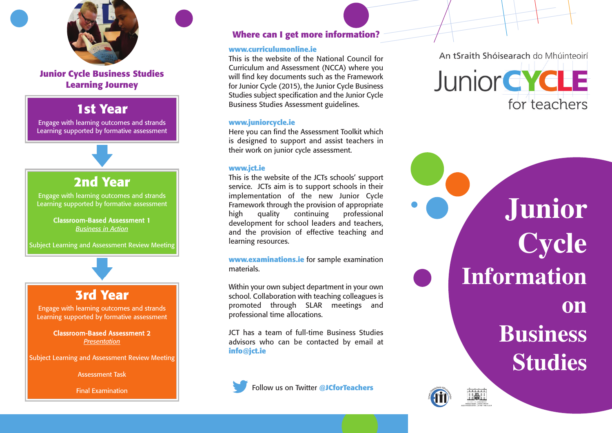

Junior Cycle Business Studies **Learning Journey** 

# 1st Year

Engage with learning outcomes and strands Learning supported by formative assessment

## **2 n d Ye a r**

Engage with learning outcomes and strands Learning supported by formative assessment

> Classroom-Based Assessment 1 *Business in Action*

Subject Learning and Assessment Review Meeting

# **3 r d Ye a r**

Engage with learning outcomes and strands Learning supported by formative assessment

> Classroom-Based Assessment 2 *Pre s e n ta tio n*

Subject Learning and Assessment Review Meeting

Assessment Task

Final Examination

#### Where can I get more information?

#### www.curriculumonline.ie

This is the website of the National Council for Curriculum and Assessment (NCCA) where you will find key documents such as the Framework for Junior Cycle (2015), the Junior Cycle Business Studies subject specification and the Junior Cycle Business Studies Assessment guidelines.

#### **www. j u n i o r c y c l e . i e**

Here you can find the Assessment Toolkit which is designed to support and assist teachers in their work on junior cycle assessment.

#### **www. j c t . i e**

This is the website of the JCTs schools' support service. JCTs aim is to support schools in their implementation of the new Junior Cycle Framework through the provision of appropriate h i g h quality continuing professional development for school leaders and teachers, and the provision of effective teaching and learning resources.

**www.examinations.ie** for sample examination materials.

Within your own subject department in your own school. Collaboration with teaching colleagues is promoted through SLAR meetings and professional time allocations.

JCT has a team of full-time Business Studies advisors who can be contacted by email at **i n f o @ j c t . i e**

Follow us on Twitter @JCforTeachers

An tSraith Shóisearach do Mhúinteoirí



**J u n i o r C y c l e** Information **o n** Business **Studies**